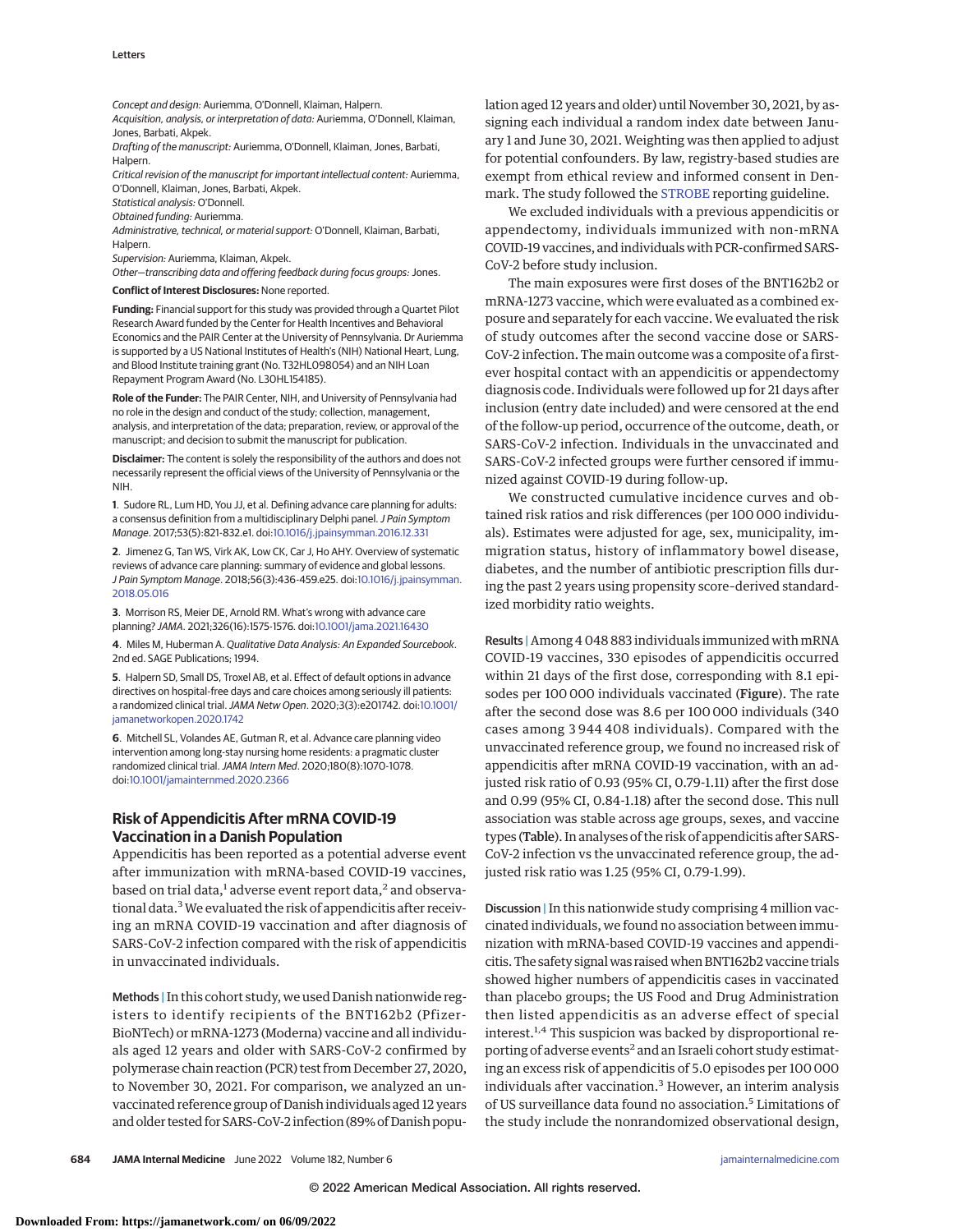Concept and design: Auriemma, O'Donnell, Klaiman, Halpern.

Acquisition, analysis, or interpretation of data: Auriemma, O'Donnell, Klaiman, Jones, Barbati, Akpek.

Drafting of the manuscript: Auriemma, O'Donnell, Klaiman, Jones, Barbati, Halpern.

Critical revision of the manuscript for important intellectual content: Auriemma, O'Donnell, Klaiman, Jones, Barbati, Akpek.

Statistical analysis: O'Donnell.

Obtained funding: Auriemma.

Administrative, technical, or material support: O'Donnell, Klaiman, Barbati, Halpern.

Supervision: Auriemma, Klaiman, Akpek.

Other—transcribing data and offering feedback during focus groups: Jones.

**Conflict of Interest Disclosures:** None reported.

**Funding:** Financial support for this study was provided through a Quartet Pilot Research Award funded by the Center for Health Incentives and Behavioral Economics and the PAIR Center at the University of Pennsylvania. Dr Auriemma is supported by a US National Institutes of Health's (NIH) National Heart, Lung, and Blood Institute training grant (No. T32HL098054) and an NIH Loan Repayment Program Award (No. L30HL154185).

**Role of the Funder:** The PAIR Center, NIH, and University of Pennsylvania had no role in the design and conduct of the study; collection, management, analysis, and interpretation of the data; preparation, review, or approval of the manuscript; and decision to submit the manuscript for publication.

**Disclaimer:** The content is solely the responsibility of the authors and does not necessarily represent the official views of the University of Pennsylvania or the NIH.

**1**. Sudore RL, Lum HD, You JJ, et al. Defining advance care planning for adults: a consensus definition from a multidisciplinary Delphi panel. J Pain Symptom Manage. 2017;53(5):821-832.e1. doi[:10.1016/j.jpainsymman.2016.12.331](https://dx.doi.org/10.1016/j.jpainsymman.2016.12.331)

**2**. Jimenez G, Tan WS, Virk AK, Low CK, Car J, Ho AHY. Overview of systematic reviews of advance care planning: summary of evidence and global lessons. J Pain Symptom Manage. 2018;56(3):436-459.e25. doi[:10.1016/j.jpainsymman.](https://dx.doi.org/10.1016/j.jpainsymman.2018.05.016) [2018.05.016](https://dx.doi.org/10.1016/j.jpainsymman.2018.05.016)

**3**. Morrison RS, Meier DE, Arnold RM. What's wrong with advance care planning? JAMA. 2021;326(16):1575-1576. doi[:10.1001/jama.2021.16430](https://jamanetwork.com/journals/jama/fullarticle/10.1001/jama.2021.16430?utm_campaign=articlePDF%26utm_medium=articlePDFlink%26utm_source=articlePDF%26utm_content=jamainternmed.2022.1180)

**4**. Miles M, Huberman A. Qualitative Data Analysis: An Expanded Sourcebook. 2nd ed. SAGE Publications; 1994.

**5**. Halpern SD, Small DS, Troxel AB, et al. Effect of default options in advance directives on hospital-free days and care choices among seriously ill patients: a randomized clinical trial.JAMA Netw Open. 2020;3(3):e201742. doi[:10.1001/](https://jamanetwork.com/journals/jama/fullarticle/10.1001/jamanetworkopen.2020.1742?utm_campaign=articlePDF%26utm_medium=articlePDFlink%26utm_source=articlePDF%26utm_content=jamainternmed.2022.1180) [jamanetworkopen.2020.1742](https://jamanetwork.com/journals/jama/fullarticle/10.1001/jamanetworkopen.2020.1742?utm_campaign=articlePDF%26utm_medium=articlePDFlink%26utm_source=articlePDF%26utm_content=jamainternmed.2022.1180)

**6**. Mitchell SL, Volandes AE, Gutman R, et al. Advance care planning video intervention among long-stay nursing home residents: a pragmatic cluster randomized clinical trial.JAMA Intern Med. 2020;180(8):1070-1078. doi[:10.1001/jamainternmed.2020.2366](https://jamanetwork.com/journals/jama/fullarticle/10.1001/jamainternmed.2020.2366?utm_campaign=articlePDF%26utm_medium=articlePDFlink%26utm_source=articlePDF%26utm_content=jamainternmed.2022.1180)

## **Risk of Appendicitis After mRNA COVID-19 Vaccination in a Danish Population**

Appendicitis has been reported as a potential adverse event after immunization with mRNA-based COVID-19 vaccines, based on trial data,<sup>1</sup> adverse event report data,<sup>2</sup> and observational data.<sup>3</sup> We evaluated the risk of appendicitis after receiving an mRNA COVID-19 vaccination and after diagnosis of SARS-CoV-2 infection compared with the risk of appendicitis in unvaccinated individuals.

Methods | In this cohort study, we used Danish nationwide registers to identify recipients of the BNT162b2 (Pfizer-BioNTech) or mRNA-1273 (Moderna) vaccine and all individuals aged 12 years and older with SARS-CoV-2 confirmed by polymerase chain reaction (PCR) test from December 27, 2020, to November 30, 2021. For comparison, we analyzed an unvaccinated reference group of Danish individuals aged 12 years and older tested for SARS-CoV-2 infection (89% of Danish population aged 12 years and older) until November 30, 2021, by assigning each individual a random index date between January 1 and June 30, 2021. Weighting was then applied to adjust for potential confounders. By law, registry-based studies are exempt from ethical review and informed consent in Denmark. The study followed the [STROBE](https://www.equator-network.org/reporting-guidelines/strobe/) reporting guideline.

We excluded individuals with a previous appendicitis or appendectomy, individuals immunized with non-mRNA COVID-19 vaccines, and individuals with PCR-confirmed SARS-CoV-2 before study inclusion.

The main exposures were first doses of the BNT162b2 or mRNA-1273 vaccine, which were evaluated as a combined exposure and separately for each vaccine. We evaluated the risk of study outcomes after the second vaccine dose or SARS-CoV-2 infection. The main outcome was a composite of a firstever hospital contact with an appendicitis or appendectomy diagnosis code. Individuals were followed up for 21 days after inclusion (entry date included) and were censored at the end of the follow-up period, occurrence of the outcome, death, or SARS-CoV-2 infection. Individuals in the unvaccinated and SARS-CoV-2 infected groups were further censored if immunized against COVID-19 during follow-up.

We constructed cumulative incidence curves and obtained risk ratios and risk differences (per 100 000 individuals). Estimates were adjusted for age, sex, municipality, immigration status, history of inflammatory bowel disease, diabetes, and the number of antibiotic prescription fills during the past 2 years using propensity score–derived standardized morbidity ratio weights.

Results | Among 4 048 883 individuals immunized with mRNA COVID-19 vaccines, 330 episodes of appendicitis occurred within 21 days of the first dose, corresponding with 8.1 episodes per 100 000 individuals vaccinated (Figure). The rate after the second dose was 8.6 per 100 000 individuals (340 cases among 3 944 408 individuals). Compared with the unvaccinated reference group, we found no increased risk of appendicitis after mRNA COVID-19 vaccination, with an adjusted risk ratio of 0.93 (95% CI, 0.79-1.11) after the first dose and 0.99 (95% CI, 0.84-1.18) after the second dose. This null association was stable across age groups, sexes, and vaccine types (Table). In analyses of the risk of appendicitis after SARS-CoV-2 infection vs the unvaccinated reference group, the adjusted risk ratio was 1.25 (95% CI, 0.79-1.99).

Discussion |In this nationwide study comprising 4 million vaccinated individuals, we found no association between immunization with mRNA-based COVID-19 vaccines and appendicitis. The safety signalwas raisedwhen BNT162b2 vaccine trials showed higher numbers of appendicitis cases in vaccinated than placebo groups; the US Food and Drug Administration then listed appendicitis as an adverse effect of special interest.<sup>1,4</sup> This suspicion was backed by disproportional reporting of adverse events<sup>2</sup> and an Israeli cohort study estimating an excess risk of appendicitis of 5.0 episodes per 100 000 individuals after vaccination.<sup>3</sup> However, an interim analysis of US surveillance data found no association.<sup>5</sup> Limitations of the study include the nonrandomized observational design,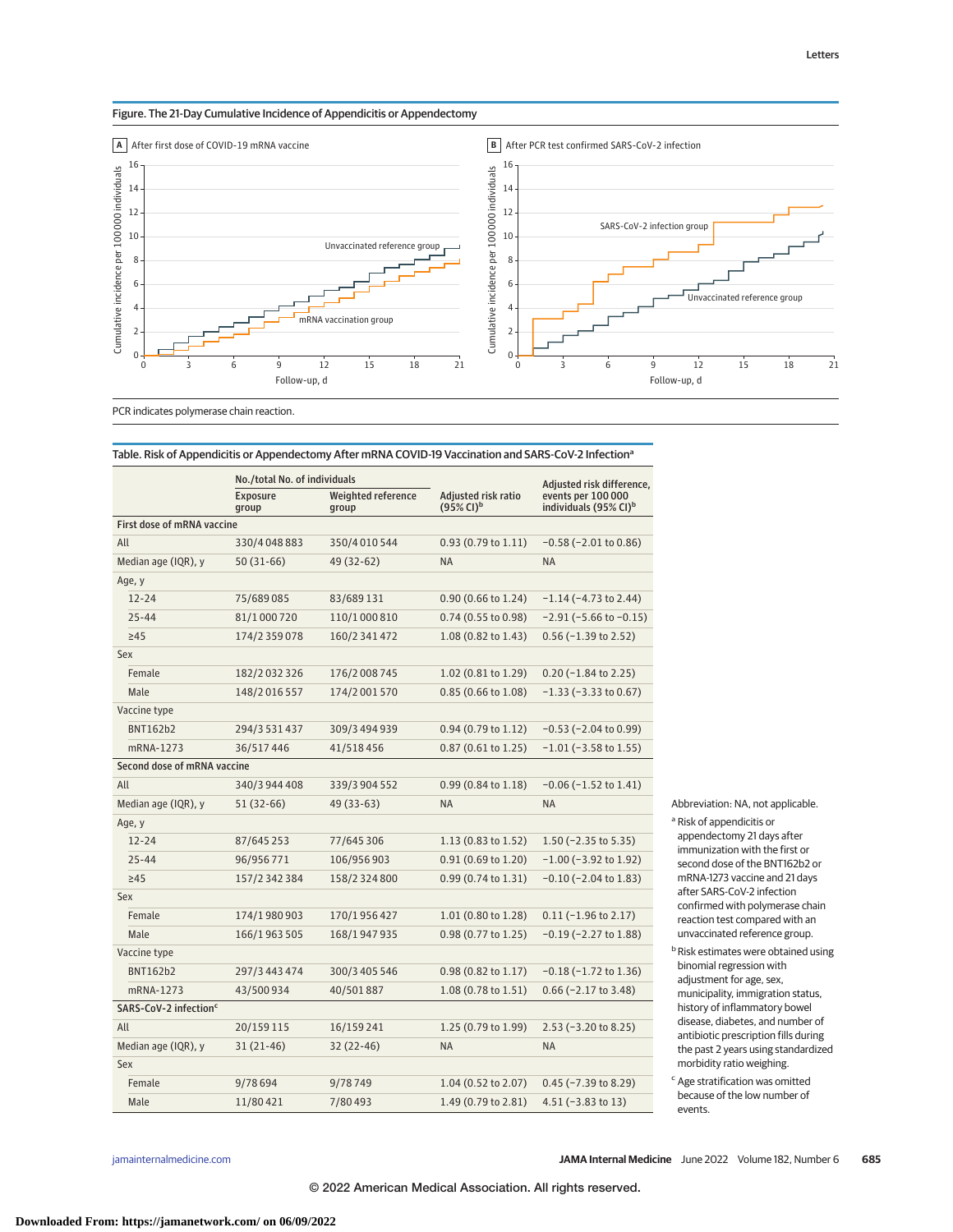## Figure. The 21-Day Cumulative Incidence of Appendicitis or Appendectomy



PCR indicates polymerase chain reaction.

|                                   | No./total No. of individuals |                             |                                                 | Adjusted risk difference,                               |
|-----------------------------------|------------------------------|-----------------------------|-------------------------------------------------|---------------------------------------------------------|
|                                   | <b>Exposure</b><br>group     | Weighted reference<br>group | Adjusted risk ratio<br>$(95\%$ CI) <sup>b</sup> | events per 100 000<br>individuals (95% CI) <sup>b</sup> |
| First dose of mRNA vaccine        |                              |                             |                                                 |                                                         |
| All                               | 330/4048883                  | 350/4010544                 | $0.93(0.79 \text{ to } 1.11)$                   | $-0.58$ ( $-2.01$ to 0.86)                              |
| Median age (IQR), y               | $50(31-66)$                  | 49 (32-62)                  | <b>NA</b>                                       | <b>NA</b>                                               |
| Age, y                            |                              |                             |                                                 |                                                         |
| $12 - 24$                         | 75/689085                    | 83/689131                   | 0.90 (0.66 to 1.24)                             | $-1.14$ ( $-4.73$ to 2.44)                              |
| $25 - 44$                         | 81/1000720                   | 110/1 000 810               | 0.74 (0.55 to 0.98)                             | $-2.91$ ( $-5.66$ to $-0.15$ )                          |
| >45                               | 174/2 359 078                | 160/2 341 472               | 1.08 (0.82 to 1.43)                             | $0.56$ (-1.39 to 2.52)                                  |
| Sex                               |                              |                             |                                                 |                                                         |
| Female                            | 182/2 032 326                | 176/2 008 745               | 1.02 (0.81 to 1.29)                             | $0.20$ (-1.84 to 2.25)                                  |
| Male                              | 148/2 016 557                | 174/2 001 570               | 0.85 (0.66 to 1.08)                             | $-1.33$ ( $-3.33$ to 0.67)                              |
| Vaccine type                      |                              |                             |                                                 |                                                         |
| <b>BNT162b2</b>                   | 294/3 531 437                | 309/3 494 939               | 0.94 (0.79 to 1.12)                             | $-0.53$ ( $-2.04$ to 0.99)                              |
| mRNA-1273                         | 36/517446                    | 41/518456                   | $0.87$ (0.61 to 1.25)                           | $-1.01$ ( $-3.58$ to 1.55)                              |
| Second dose of mRNA vaccine       |                              |                             |                                                 |                                                         |
| All                               | 340/3 944 408                | 339/3 904 552               | $0.99(0.84 \text{ to } 1.18)$                   | $-0.06$ ( $-1.52$ to $1.41$ )                           |
| Median age (IQR), y               | 51 (32-66)                   | 49 (33-63)                  | <b>NA</b>                                       | <b>NA</b>                                               |
| Age, y                            |                              |                             |                                                 |                                                         |
| $12 - 24$                         | 87/645 253                   | 77/645 306                  | 1.13 (0.83 to 1.52)                             | $1.50$ (-2.35 to 5.35)                                  |
| $25 - 44$                         | 96/956771                    | 106/956 903                 | 0.91 (0.69 to 1.20)                             | $-1.00$ ( $-3.92$ to 1.92)                              |
| >45                               | 157/2 342 384                | 158/2 324 800               | 0.99 (0.74 to 1.31)                             | $-0.10$ ( $-2.04$ to 1.83)                              |
| Sex                               |                              |                             |                                                 |                                                         |
| Female                            | 174/1980903                  | 170/1956427                 | 1.01 (0.80 to 1.28)                             | $0.11$ (-1.96 to 2.17)                                  |
| Male                              | 166/1963505                  | 168/1947935                 | 0.98 (0.77 to 1.25)                             | $-0.19$ ( $-2.27$ to 1.88)                              |
| Vaccine type                      |                              |                             |                                                 |                                                         |
| <b>BNT162b2</b>                   | 297/3 443 474                | 300/3 405 546               | 0.98 (0.82 to 1.17)                             | $-0.18$ ( $-1.72$ to 1.36)                              |
| mRNA-1273                         | 43/500934                    | 40/501887                   | 1.08 (0.78 to 1.51)                             | $0.66$ (-2.17 to 3.48)                                  |
| SARS-CoV-2 infection <sup>c</sup> |                              |                             |                                                 |                                                         |
| All                               | 20/159 115                   | 16/159 241                  | 1.25 (0.79 to 1.99)                             | $2.53$ (-3.20 to 8.25)                                  |
| Median age (IQR), y               | 31 (21-46)                   | 32 (22-46)                  | <b>NA</b>                                       | <b>NA</b>                                               |
| Sex                               |                              |                             |                                                 |                                                         |
| Female                            | 9/78 694                     | 9/78749                     | 1.04 (0.52 to 2.07)                             | $0.45$ (-7.39 to 8.29)                                  |
| Male                              | 11/80 421                    | 7/80493                     | 1.49 (0.79 to 2.81)                             | $4.51(-3.83 \text{ to } 13)$                            |

Table. Risk of Appendicitis or Appendectomy After mRNA COVID-19 Vaccination and SARS-CoV-2 Infectiona

Abbreviation: NA, not applicable. <sup>a</sup> Risk of appendicitis or appendectomy 21 days after immunization with the first or second dose of the BNT162b2 or mRNA-1273 vaccine and 21 days after SARS-CoV-2 infection confirmed with polymerase chain reaction test compared with an unvaccinated reference group.

 $b$  Risk estimates were obtained using binomial regression with adjustment for age, sex, municipality, immigration status, history of inflammatory bowel disease, diabetes, and number of antibiotic prescription fills during the past 2 years using standardized morbidity ratio weighing.

<sup>c</sup> Age stratification was omitted because of the low number of events.